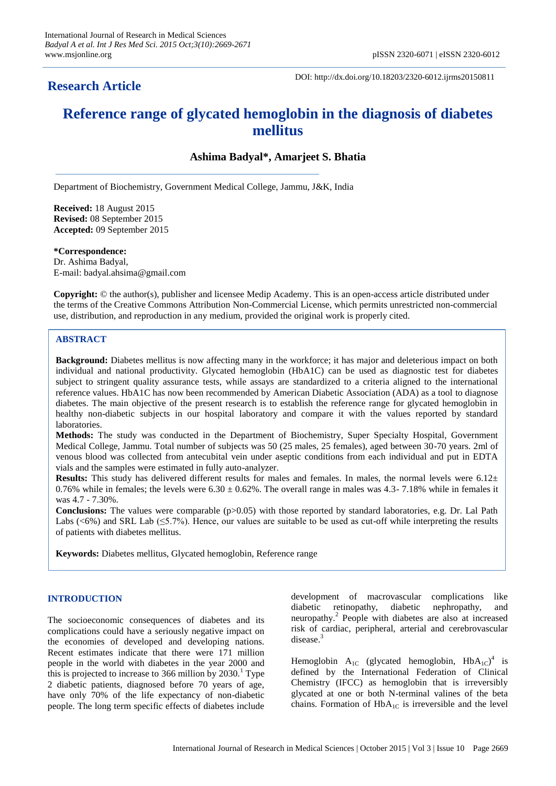## **Research Article**

DOI: http://dx.doi.org/10.18203/2320-6012.ijrms20150811

# **Reference range of glycated hemoglobin in the diagnosis of diabetes mellitus**

## **Ashima Badyal\*, Amarjeet S. Bhatia**

Department of Biochemistry, Government Medical College, Jammu, J&K, India

**Received:** 18 August 2015 **Revised:** 08 September 2015 **Accepted:** 09 September 2015

**\*Correspondence:** Dr. Ashima Badyal, E-mail: badyal.ahsima@gmail.com

**Copyright:** © the author(s), publisher and licensee Medip Academy. This is an open-access article distributed under the terms of the Creative Commons Attribution Non-Commercial License, which permits unrestricted non-commercial use, distribution, and reproduction in any medium, provided the original work is properly cited.

## **ABSTRACT**

**Background:** Diabetes mellitus is now affecting many in the workforce; it has major and deleterious impact on both individual and national productivity. Glycated hemoglobin (HbA1C) can be used as diagnostic test for diabetes subject to stringent quality assurance tests, while assays are standardized to a criteria aligned to the international reference values. HbA1C has now been recommended by American Diabetic Association (ADA) as a tool to diagnose diabetes. The main objective of the present research is to establish the reference range for glycated hemoglobin in healthy non-diabetic subjects in our hospital laboratory and compare it with the values reported by standard laboratories.

**Methods:** The study was conducted in the Department of Biochemistry, Super Specialty Hospital, Government Medical College, Jammu. Total number of subjects was 50 (25 males, 25 females), aged between 30-70 years. 2ml of venous blood was collected from antecubital vein under aseptic conditions from each individual and put in EDTA vials and the samples were estimated in fully auto-analyzer.

**Results:** This study has delivered different results for males and females. In males, the normal levels were 6.12± 0.76% while in females; the levels were  $6.30 \pm 0.62$ %. The overall range in males was 4.3-7.18% while in females it was 4.7 - 7.30%.

**Conclusions:** The values were comparable ( $p>0.05$ ) with those reported by standard laboratories, e.g. Dr. Lal Path Labs  $( $6\%$ )$  and SRL Lab  $( $5.7\%$ )$ . Hence, our values are suitable to be used as cut-off while interpreting the results of patients with diabetes mellitus.

**Keywords:** Diabetes mellitus, Glycated hemoglobin, Reference range

### **INTRODUCTION**

The socioeconomic consequences of diabetes and its complications could have a seriously negative impact on the economies of developed and developing nations. Recent estimates indicate that there were 171 million people in the world with diabetes in the year 2000 and this is projected to increase to 366 million by  $2030<sup>1</sup>$  Type 2 diabetic patients, diagnosed before 70 years of age, have only 70% of the life expectancy of non-diabetic people. The long term specific effects of diabetes include

development of macrovascular complications like diabetic retinopathy, diabetic nephropathy, and neuropathy.<sup>2</sup> People with diabetes are also at increased risk of cardiac, peripheral, arterial and cerebrovascular disease.<sup>3</sup>

Hemoglobin  $A_{1C}$  (glycated hemoglobin,  $HbA_{1C}$ <sup>4</sup> is defined by the International Federation of Clinical Chemistry (IFCC) as hemoglobin that is irreversibly glycated at one or both N-terminal valines of the beta chains. Formation of  $HbA_{1C}$  is irreversible and the level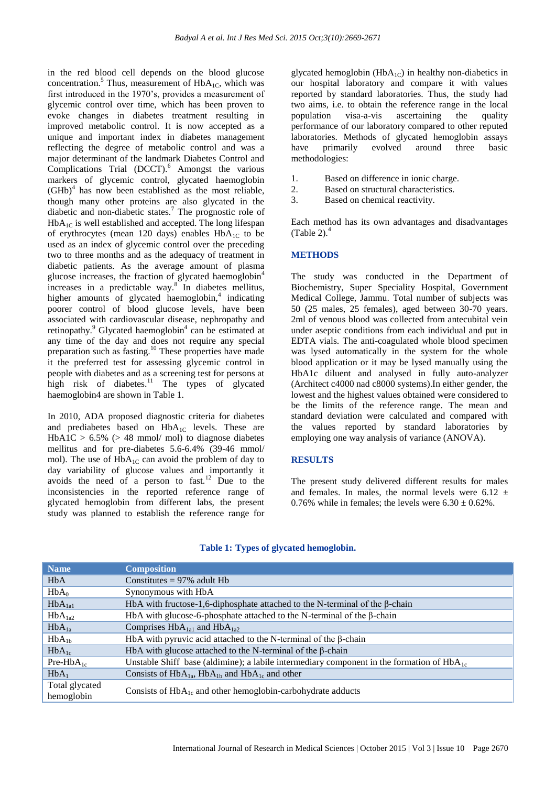in the red blood cell depends on the blood glucose concentration.<sup>5</sup> Thus, measurement of  $HbA<sub>1C</sub>$ , which was first introduced in the 1970's, provides a measurement of glycemic control over time, which has been proven to evoke changes in diabetes treatment resulting in improved metabolic control. It is now accepted as a unique and important index in diabetes management reflecting the degree of metabolic control and was a major determinant of the landmark Diabetes Control and Complications Trial (DCCT).<sup>6</sup> Amongst the various markers of glycemic control, glycated haemoglobin  $(GHb)<sup>4</sup>$  has now been established as the most reliable, though many other proteins are also glycated in the diabetic and non-diabetic states.<sup>7</sup> The prognostic role of  $HbA_{1C}$  is well established and accepted. The long lifespan of erythrocytes (mean 120 days) enables  $HbA_{1C}$  to be used as an index of glycemic control over the preceding two to three months and as the adequacy of treatment in diabetic patients. As the average amount of plasma glucose increases, the fraction of glycated haemoglobin<sup>4</sup> increases in a predictable way.<sup>8</sup> In diabetes mellitus, higher amounts of glycated haemoglobin,<sup>4</sup> indicating poorer control of blood glucose levels, have been associated with cardiovascular disease, nephropathy and retinopathy.<sup>9</sup> Glycated haemoglobin<sup>4</sup> can be estimated at any time of the day and does not require any special preparation such as fasting.<sup>10</sup> These properties have made it the preferred test for assessing glycemic control in people with diabetes and as a screening test for persons at high risk of diabetes.<sup>11</sup> The types of glycated haemoglobin4 are shown in Table 1.

In 2010, ADA proposed diagnostic criteria for diabetes and prediabetes based on  $HbA_{1C}$  levels. These are  $HbA1C > 6.5\%$  ( $> 48$  mmol/ mol) to diagnose diabetes mellitus and for pre-diabetes 5.6-6.4% (39-46 mmol/ mol). The use of  $HbA_{1C}$  can avoid the problem of day to day variability of glucose values and importantly it avoids the need of a person to fast.<sup>12</sup> Due to the inconsistencies in the reported reference range of glycated hemoglobin from different labs, the present study was planned to establish the reference range for

glycated hemoglobin ( $HbA_{1C}$ ) in healthy non-diabetics in our hospital laboratory and compare it with values reported by standard laboratories. Thus, the study had two aims, i.e. to obtain the reference range in the local population visa-a-vis ascertaining the quality performance of our laboratory compared to other reputed laboratories. Methods of glycated hemoglobin assays have primarily evolved around three basic methodologies:

- 1. Based on difference in ionic charge.
- 2. Based on structural characteristics.
- 3. Based on chemical reactivity.

Each method has its own advantages and disadvantages (Table 2). $<sup>4</sup>$ </sup>

### **METHODS**

The study was conducted in the Department of Biochemistry, Super Speciality Hospital, Government Medical College, Jammu. Total number of subjects was 50 (25 males, 25 females), aged between 30-70 years. 2ml of venous blood was collected from antecubital vein under aseptic conditions from each individual and put in EDTA vials. The anti-coagulated whole blood specimen was lysed automatically in the system for the whole blood application or it may be lysed manually using the HbA1c diluent and analysed in fully auto-analyzer (Architect c4000 nad c8000 systems).In either gender, the lowest and the highest values obtained were considered to be the limits of the reference range. The mean and standard deviation were calculated and compared with the values reported by standard laboratories by employing one way analysis of variance (ANOVA).

#### **RESULTS**

The present study delivered different results for males and females. In males, the normal levels were  $6.12 \pm$ 0.76% while in females; the levels were  $6.30 \pm 0.62$ %.

| <b>Name</b>        | <b>Composition</b>                                                                             |  |
|--------------------|------------------------------------------------------------------------------------------------|--|
| <b>HbA</b>         | Constitutes = $97\%$ adult Hb                                                                  |  |
| $HbA_0$            | Synonymous with HbA                                                                            |  |
| $HbA_{1a1}$        | HbA with fructose-1,6-diphosphate attached to the N-terminal of the $\beta$ -chain             |  |
| HbA <sub>1a2</sub> | HbA with glucose-6-phosphate attached to the N-terminal of the $\beta$ -chain                  |  |
| $HbA_{1a}$         | Comprises $HbA_{1a1}$ and $HbA_{1a2}$                                                          |  |
| $HbA_{1b}$         | HbA with pyruvic acid attached to the N-terminal of the $\beta$ -chain                         |  |
| $HbA_{1c}$         | HbA with glucose attached to the N-terminal of the $\beta$ -chain                              |  |
| $Pre-HbA_{1c}$     | Unstable Shiff base (aldimine); a labile intermediary component in the formation of $HbA_{1c}$ |  |
| $HbA_1$            | Consists of $HbA_{1a}$ , $HbA_{1b}$ and $HbA_{1c}$ and other                                   |  |
| Total glycated     | Consists of $HbA_{1c}$ and other hemoglobin-carbohydrate adducts                               |  |
| hemoglobin         |                                                                                                |  |

#### **Table 1: Types of glycated hemoglobin.**